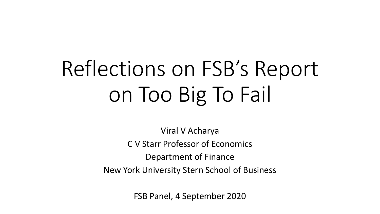## Reflections on FSB's Report on Too Big To Fail

Viral V Acharya C V Starr Professor of Economics Department of Finance New York University Stern School of Business

FSB Panel, 4 September 2020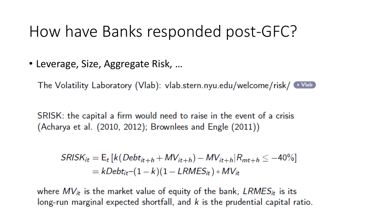## How have Banks responded post-GFC?

• Leverage, Size, Aggregate Risk, …

The Volatility Laboratory (Vlab): vlab.stern.nyu.edu/welcome/risk/ Wlab)

SRISK: the capital a firm would need to raise in the event of a crisis (Acharya et al.  $(2010, 2012)$ ; Brownlees and Engle  $(2011)$ )

$$
SRISK_{it} = E_t [k(Debt_{it+h} + MV_{it+h}) - MV_{it+h}|R_{mt+h} \le -40\%]
$$
  
=  $kDebt_{it}-(1-k)(1-LRMES_{it}) * MV_{it}$ 

where  $MV_{it}$  is the market value of equity of the bank,  $LRMES_{it}$  is its long-run marginal expected shortfall, and  $k$  is the prudential capital ratio.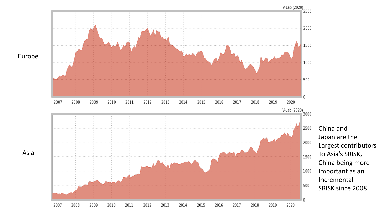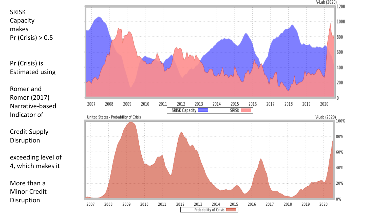SRISK Capacity makes Pr (Crisis) > 0.5

Pr (Crisis) is Estimated using

Romer and Romer (2017) Narrative-based Indicator of

Credit Supply Disruption

exceeding level of 4, which makes it

More than a Minor Credit Disruption

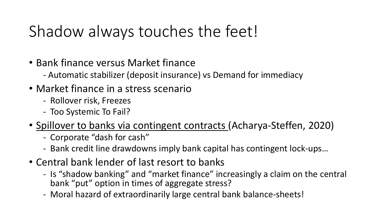## Shadow always touches the feet!

- Bank finance versus Market finance
	- Automatic stabilizer (deposit insurance) vs Demand for immediacy
- Market finance in a stress scenario
	- Rollover risk, Freezes
	- Too Systemic To Fail?
- Spillover to banks via contingent contracts (Acharya-Steffen, 2020)
	- Corporate "dash for cash"
	- Bank credit line drawdowns imply bank capital has contingent lock-ups…
- Central bank lender of last resort to banks
	- Is "shadow banking" and "market finance" increasingly a claim on the central bank "put" option in times of aggregate stress?
	- Moral hazard of extraordinarily large central bank balance-sheets!